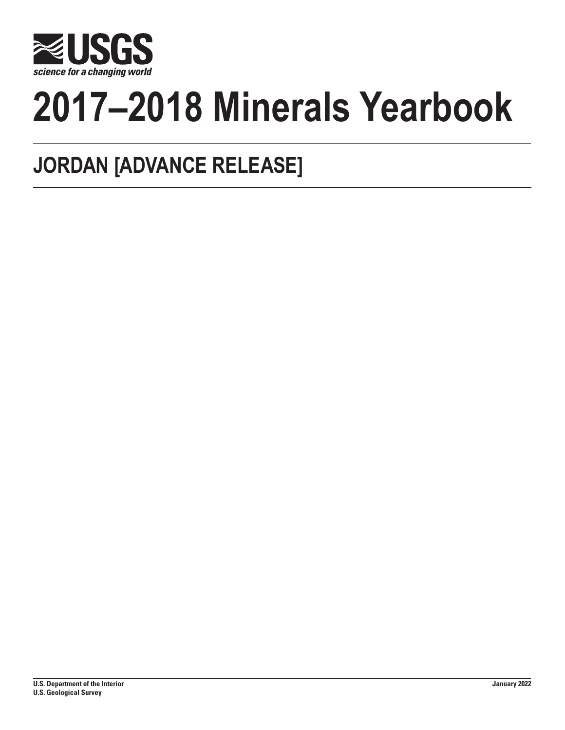

# **2017–2018 Minerals Yearbook**

## **JORDAN [ADVANCE RELEASE]**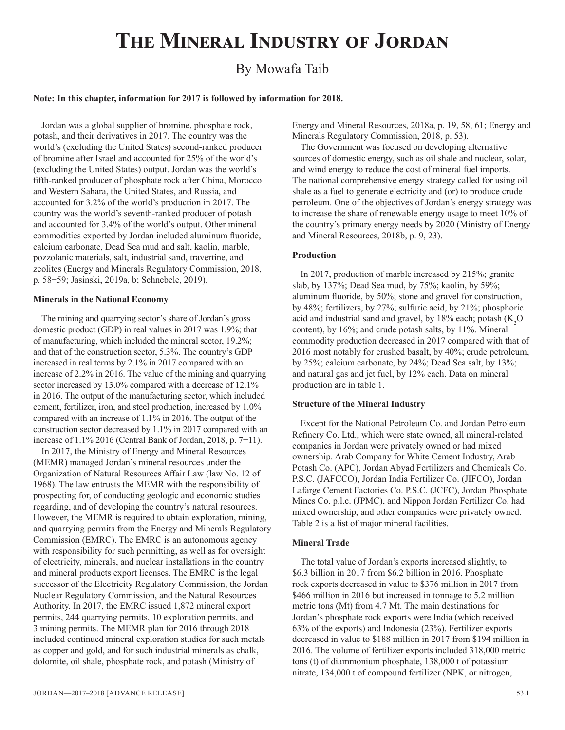## **The Mineral Industry of Jordan**

### By Mowafa Taib

#### **Note: In this chapter, information for 2017 is followed by information for 2018.**

Jordan was a global supplier of bromine, phosphate rock, potash, and their derivatives in 2017. The country was the world's (excluding the United States) second-ranked producer of bromine after Israel and accounted for 25% of the world's (excluding the United States) output. Jordan was the world's fifth-ranked producer of phosphate rock after China, Morocco and Western Sahara, the United States, and Russia, and accounted for 3.2% of the world's production in 2017. The country was the world's seventh-ranked producer of potash and accounted for 3.4% of the world's output. Other mineral commodities exported by Jordan included aluminum fluoride, calcium carbonate, Dead Sea mud and salt, kaolin, marble, pozzolanic materials, salt, industrial sand, travertine, and zeolites (Energy and Minerals Regulatory Commission, 2018, p. 58−59; Jasinski, 2019a, b; Schnebele, 2019).

#### **Minerals in the National Economy**

The mining and quarrying sector's share of Jordan's gross domestic product (GDP) in real values in 2017 was 1.9%; that of manufacturing, which included the mineral sector, 19.2%; and that of the construction sector, 5.3%. The country's GDP increased in real terms by 2.1% in 2017 compared with an increase of 2.2% in 2016. The value of the mining and quarrying sector increased by 13.0% compared with a decrease of 12.1% in 2016. The output of the manufacturing sector, which included cement, fertilizer, iron, and steel production, increased by 1.0% compared with an increase of 1.1% in 2016. The output of the construction sector decreased by 1.1% in 2017 compared with an increase of 1.1% 2016 (Central Bank of Jordan, 2018, p. 7−11).

In 2017, the Ministry of Energy and Mineral Resources (MEMR) managed Jordan's mineral resources under the Organization of Natural Resources Affair Law (law No. 12 of 1968). The law entrusts the MEMR with the responsibility of prospecting for, of conducting geologic and economic studies regarding, and of developing the country's natural resources. However, the MEMR is required to obtain exploration, mining, and quarrying permits from the Energy and Minerals Regulatory Commission (EMRC). The EMRC is an autonomous agency with responsibility for such permitting, as well as for oversight of electricity, minerals, and nuclear installations in the country and mineral products export licenses. The EMRC is the legal successor of the Electricity Regulatory Commission, the Jordan Nuclear Regulatory Commission, and the Natural Resources Authority. In 2017, the EMRC issued 1,872 mineral export permits, 244 quarrying permits, 10 exploration permits, and 3 mining permits. The MEMR plan for 2016 through 2018 included continued mineral exploration studies for such metals as copper and gold, and for such industrial minerals as chalk, dolomite, oil shale, phosphate rock, and potash (Ministry of

Energy and Mineral Resources, 2018a, p. 19, 58, 61; Energy and Minerals Regulatory Commission, 2018, p. 53).

The Government was focused on developing alternative sources of domestic energy, such as oil shale and nuclear, solar, and wind energy to reduce the cost of mineral fuel imports. The national comprehensive energy strategy called for using oil shale as a fuel to generate electricity and (or) to produce crude petroleum. One of the objectives of Jordan's energy strategy was to increase the share of renewable energy usage to meet 10% of the country's primary energy needs by 2020 (Ministry of Energy and Mineral Resources, 2018b, p. 9, 23).

#### **Production**

In 2017, production of marble increased by 215%; granite slab, by 137%; Dead Sea mud, by 75%; kaolin, by 59%; aluminum fluoride, by 50%; stone and gravel for construction, by 48%; fertilizers, by 27%; sulfuric acid, by 21%; phosphoric acid and industrial sand and gravel, by 18% each; potash (K<sub>2</sub>O content), by 16%; and crude potash salts, by 11%. Mineral commodity production decreased in 2017 compared with that of 2016 most notably for crushed basalt, by 40%; crude petroleum, by 25%; calcium carbonate, by 24%; Dead Sea salt, by 13%; and natural gas and jet fuel, by 12% each. Data on mineral production are in table 1.

#### **Structure of the Mineral Industry**

Except for the National Petroleum Co. and Jordan Petroleum Refinery Co. Ltd., which were state owned, all mineral-related companies in Jordan were privately owned or had mixed ownership. Arab Company for White Cement Industry, Arab Potash Co. (APC), Jordan Abyad Fertilizers and Chemicals Co. P.S.C. (JAFCCO), Jordan India Fertilizer Co. (JIFCO), Jordan Lafarge Cement Factories Co. P.S.C. (JCFC), Jordan Phosphate Mines Co. p.l.c. (JPMC), and Nippon Jordan Fertilizer Co. had mixed ownership, and other companies were privately owned. Table 2 is a list of major mineral facilities.

#### **Mineral Trade**

The total value of Jordan's exports increased slightly, to \$6.3 billion in 2017 from \$6.2 billion in 2016. Phosphate rock exports decreased in value to \$376 million in 2017 from \$466 million in 2016 but increased in tonnage to 5.2 million metric tons (Mt) from 4.7 Mt. The main destinations for Jordan's phosphate rock exports were India (which received 63% of the exports) and Indonesia (23%). Fertilizer exports decreased in value to \$188 million in 2017 from \$194 million in 2016. The volume of fertilizer exports included 318,000 metric tons (t) of diammonium phosphate, 138,000 t of potassium nitrate, 134,000 t of compound fertilizer (NPK, or nitrogen,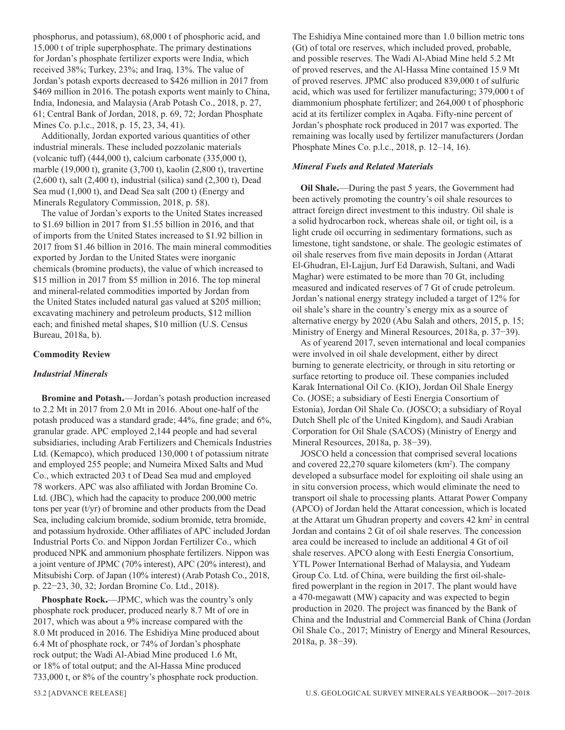phosphorus, and potassium), 68,000 t of phosphoric acid, and 15,000 t of triple superphosphate. The primary destinations for Jordan's phosphate fertilizer exports were India, which received 38%; Turkey, 23%; and Iraq, 13%. The value of Jordan's potash exports decreased to \$426 million in 2017 from \$469 million in 2016. The potash exports went mainly to China, India, Indonesia, and Malaysia (Arab Potash Co., 2018, p. 27, 61; Central Bank of Jordan, 2018, p. 69, 72; Jordan Phosphate Mines Co. p.l.c., 2018, p. 15, 23, 34, 41).

Additionally, Jordan exported various quantities of other industrial minerals. These included pozzolanic materials (volcanic tuff) (444,000 t), calcium carbonate (335,000 t), marble (19,000 t), granite (3,700 t), kaolin (2,800 t), travertine (2,600 t), salt (2,400 t), industrial (silica) sand (2,300 t), Dead Sea mud (1,000 t), and Dead Sea salt (200 t) (Energy and Minerals Regulatory Commission, 2018, p. 58).

The value of Jordan's exports to the United States increased to \$1.69 billion in 2017 from \$1.55 billion in 2016, and that of imports from the United States increased to \$1.92 billion in 2017 from \$1.46 billion in 2016. The main mineral commodities exported by Jordan to the United States were inorganic chemicals (bromine products), the value of which increased to \$15 million in 2017 from \$5 million in 2016. The top mineral and mineral-related commodities imported by Jordan from the United States included natural gas valued at \$205 million; excavating machinery and petroleum products, \$12 million each; and finished metal shapes, \$10 million (U.S. Census Bureau, 2018a, b).

#### **Commodity Review**

#### *Industrial Minerals*

**Bromine and Potash.**—Jordan's potash production increased to 2.2 Mt in 2017 from 2.0 Mt in 2016. About one-half of the potash produced was a standard grade; 44%, fine grade; and 6%, granular grade. APC employed 2,144 people and had several subsidiaries, including Arab Fertilizers and Chemicals Industries Ltd. (Kemapco), which produced 130,000 t of potassium nitrate and employed 255 people; and Numeira Mixed Salts and Mud Co., which extracted 203 t of Dead Sea mud and employed 78 workers. APC was also affiliated with Jordan Bromine Co. Ltd. (JBC), which had the capacity to produce 200,000 metric tons per year (t/yr) of bromine and other products from the Dead Sea, including calcium bromide, sodium bromide, tetra bromide, and potassium hydroxide. Other affiliates of APC included Jordan Industrial Ports Co. and Nippon Jordan Fertilizer Co., which produced NPK and ammonium phosphate fertilizers. Nippon was a joint venture of JPMC (70% interest), APC (20% interest), and Mitsubishi Corp. of Japan (10% interest) (Arab Potash Co., 2018, p. 22−23, 30, 32; Jordan Bromine Co. Ltd., 2018).

**Phosphate Rock.**—JPMC, which was the country's only phosphate rock producer, produced nearly 8.7 Mt of ore in 2017, which was about a 9% increase compared with the 8.0 Mt produced in 2016. The Eshidiya Mine produced about 6.4 Mt of phosphate rock, or 74% of Jordan's phosphate rock output; the Wadi Al-Abiad Mine produced 1.6 Mt, or 18% of total output; and the Al-Hassa Mine produced 733,000 t, or 8% of the country's phosphate rock production.

The Eshidiya Mine contained more than 1.0 billion metric tons (Gt) of total ore reserves, which included proved, probable, and possible reserves. The Wadi Al-Abiad Mine held 5.2 Mt of proved reserves, and the Al-Hassa Mine contained 15.9 Mt of proved reserves. JPMC also produced 839,000 t of sulfuric acid, which was used for fertilizer manufacturing; 379,000 t of diammonium phosphate fertilizer; and 264,000 t of phosphoric acid at its fertilizer complex in Aqaba. Fifty-nine percent of Jordan's phosphate rock produced in 2017 was exported. The remaining was locally used by fertilizer manufacturers (Jordan Phosphate Mines Co. p.l.c., 2018, p. 12–14, 16).

#### *Mineral Fuels and Related Materials*

**Oil Shale.**—During the past 5 years, the Government had been actively promoting the country's oil shale resources to attract foreign direct investment to this industry. Oil shale is a solid hydrocarbon rock, whereas shale oil, or tight oil, is a light crude oil occurring in sedimentary formations, such as limestone, tight sandstone, or shale. The geologic estimates of oil shale reserves from five main deposits in Jordan (Attarat El-Ghudran, El-Lajjun, Jurf Ed Darawish, Sultani, and Wadi Maghar) were estimated to be more than 70 Gt, including measured and indicated reserves of 7 Gt of crude petroleum. Jordan's national energy strategy included a target of 12% for oil shale's share in the country's energy mix as a source of alternative energy by 2020 (Abu Salah and others, 2015, p. 15; Ministry of Energy and Mineral Resources, 2018a, p. 37−39).

As of yearend 2017, seven international and local companies were involved in oil shale development, either by direct burning to generate electricity, or through in situ retorting or surface retorting to produce oil. These companies included Karak International Oil Co. (KIO), Jordan Oil Shale Energy Co. (JOSE; a subsidiary of Eesti Energia Consortium of Estonia), Jordan Oil Shale Co. (JOSCO; a subsidiary of Royal Dutch Shell plc of the United Kingdom), and Saudi Arabian Corporation for Oil Shale (SACOS) (Ministry of Energy and Mineral Resources, 2018a, p. 38−39).

JOSCO held a concession that comprised several locations and covered  $22,270$  square kilometers ( $km<sup>2</sup>$ ). The company developed a subsurface model for exploiting oil shale using an in situ conversion process, which would eliminate the need to transport oil shale to processing plants. Attarat Power Company (APCO) of Jordan held the Attarat concession, which is located at the Attarat um Ghudran property and covers 42 km<sup>2</sup> in central Jordan and contains 2 Gt of oil shale reserves. The concession area could be increased to include an additional 4 Gt of oil shale reserves. APCO along with Eesti Energia Consortium, YTL Power International Berhad of Malaysia, and Yudeam Group Co. Ltd. of China, were building the first oil-shalefired powerplant in the region in 2017. The plant would have a 470-megawatt (MW) capacity and was expected to begin production in 2020. The project was financed by the Bank of China and the Industrial and Commercial Bank of China (Jordan Oil Shale Co., 2017; Ministry of Energy and Mineral Resources, 2018a, p. 38−39).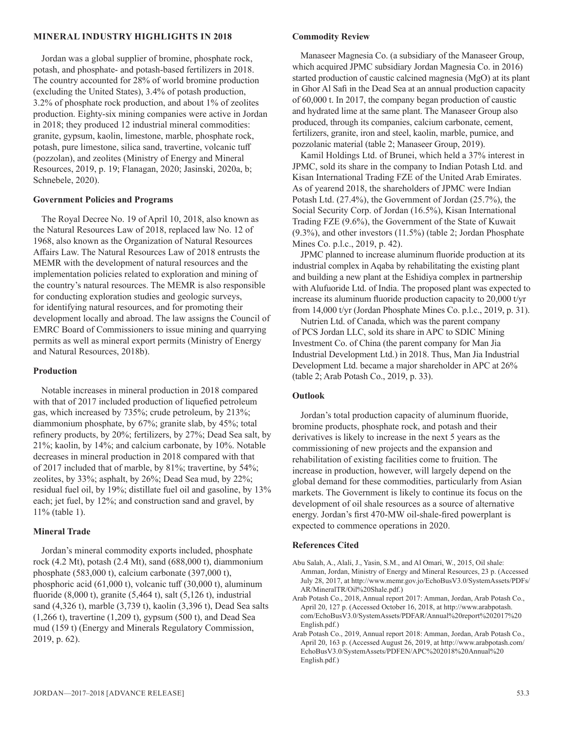#### **MINERAL INDUSTRY HIGHLIGHTS IN 2018**

Jordan was a global supplier of bromine, phosphate rock, potash, and phosphate- and potash-based fertilizers in 2018. The country accounted for 28% of world bromine production (excluding the United States), 3.4% of potash production, 3.2% of phosphate rock production, and about 1% of zeolites production. Eighty-six mining companies were active in Jordan in 2018; they produced 12 industrial mineral commodities: granite, gypsum, kaolin, limestone, marble, phosphate rock, potash, pure limestone, silica sand, travertine, volcanic tuff (pozzolan), and zeolites (Ministry of Energy and Mineral Resources, 2019, p. 19; Flanagan, 2020; Jasinski, 2020a, b; Schnebele, 2020).

#### **Government Policies and Programs**

The Royal Decree No. 19 of April 10, 2018, also known as the Natural Resources Law of 2018, replaced law No. 12 of 1968, also known as the Organization of Natural Resources Affairs Law. The Natural Resources Law of 2018 entrusts the MEMR with the development of natural resources and the implementation policies related to exploration and mining of the country's natural resources. The MEMR is also responsible for conducting exploration studies and geologic surveys, for identifying natural resources, and for promoting their development locally and abroad. The law assigns the Council of EMRC Board of Commissioners to issue mining and quarrying permits as well as mineral export permits (Ministry of Energy and Natural Resources, 2018b).

#### **Production**

Notable increases in mineral production in 2018 compared with that of 2017 included production of liquefied petroleum gas, which increased by 735%; crude petroleum, by 213%; diammonium phosphate, by 67%; granite slab, by 45%; total refinery products, by 20%; fertilizers, by 27%; Dead Sea salt, by 21%; kaolin, by 14%; and calcium carbonate, by 10%. Notable decreases in mineral production in 2018 compared with that of 2017 included that of marble, by 81%; travertine, by 54%; zeolites, by 33%; asphalt, by 26%; Dead Sea mud, by 22%; residual fuel oil, by 19%; distillate fuel oil and gasoline, by 13% each; jet fuel, by 12%; and construction sand and gravel, by 11% (table 1).

#### **Mineral Trade**

Jordan's mineral commodity exports included, phosphate rock (4.2 Mt), potash (2.4 Mt), sand (688,000 t), diammonium phosphate (583,000 t), calcium carbonate (397,000 t), phosphoric acid (61,000 t), volcanic tuff (30,000 t), aluminum fluoride (8,000 t), granite (5,464 t), salt (5,126 t), industrial sand (4,326 t), marble (3,739 t), kaolin (3,396 t), Dead Sea salts (1,266 t), travertine (1,209 t), gypsum (500 t), and Dead Sea mud (159 t) (Energy and Minerals Regulatory Commission, 2019, p. 62).

#### **Commodity Review**

Manaseer Magnesia Co. (a subsidiary of the Manaseer Group, which acquired JPMC subsidiary Jordan Magnesia Co. in 2016) started production of caustic calcined magnesia (MgO) at its plant in Ghor Al Safi in the Dead Sea at an annual production capacity of 60,000 t. In 2017, the company began production of caustic and hydrated lime at the same plant. The Manaseer Group also produced, through its companies, calcium carbonate, cement, fertilizers, granite, iron and steel, kaolin, marble, pumice, and pozzolanic material (table 2; Manaseer Group, 2019).

Kamil Holdings Ltd. of Brunei, which held a 37% interest in JPMC, sold its share in the company to Indian Potash Ltd. and Kisan International Trading FZE of the United Arab Emirates. As of yearend 2018, the shareholders of JPMC were Indian Potash Ltd. (27.4%), the Government of Jordan (25.7%), the Social Security Corp. of Jordan (16.5%), Kisan International Trading FZE (9.6%), the Government of the State of Kuwait (9.3%), and other investors (11.5%) (table 2; Jordan Phosphate Mines Co. p.l.c., 2019, p. 42).

JPMC planned to increase aluminum fluoride production at its industrial complex in Aqaba by rehabilitating the existing plant and building a new plant at the Eshidiya complex in partnership with Alufuoride Ltd. of India. The proposed plant was expected to increase its aluminum fluoride production capacity to 20,000 t/yr from 14,000 t/yr (Jordan Phosphate Mines Co. p.l.c., 2019, p. 31).

Nutrien Ltd. of Canada, which was the parent company of PCS Jordan LLC, sold its share in APC to SDIC Mining Investment Co. of China (the parent company for Man Jia Industrial Development Ltd.) in 2018. Thus, Man Jia Industrial Development Ltd. became a major shareholder in APC at 26% (table 2; Arab Potash Co., 2019, p. 33).

#### **Outlook**

Jordan's total production capacity of aluminum fluoride, bromine products, phosphate rock, and potash and their derivatives is likely to increase in the next 5 years as the commissioning of new projects and the expansion and rehabilitation of existing facilities come to fruition. The increase in production, however, will largely depend on the global demand for these commodities, particularly from Asian markets. The Government is likely to continue its focus on the development of oil shale resources as a source of alternative energy. Jordan's first 470-MW oil-shale-fired powerplant is expected to commence operations in 2020.

#### **References Cited**

- Abu Salah, A., Alali, J., Yasin, S.M., and Al Omari, W., 2015, Oil shale: Amman, Jordan, Ministry of Energy and Mineral Resources, 23 p. (Accessed July 28, 2017, at http://www.memr.gov.jo/EchoBusV3.0/SystemAssets/PDFs/ AR/MineralTR/Oil%20Shale.pdf.)
- Arab Potash Co., 2018, Annual report 2017: Amman, Jordan, Arab Potash Co., April 20, 127 p. (Accessed October 16, 2018, at http://www.arabpotash. com/EchoBusV3.0/SystemAssets/PDFAR/Annual%20report%202017%20 English.pdf.)
- Arab Potash Co., 2019, Annual report 2018: Amman, Jordan, Arab Potash Co., April 20, 163 p. (Accessed August 26, 2019, at http://www.arabpotash.com/ EchoBusV3.0/SystemAssets/PDFEN/APC%202018%20Annual%20 English.pdf.)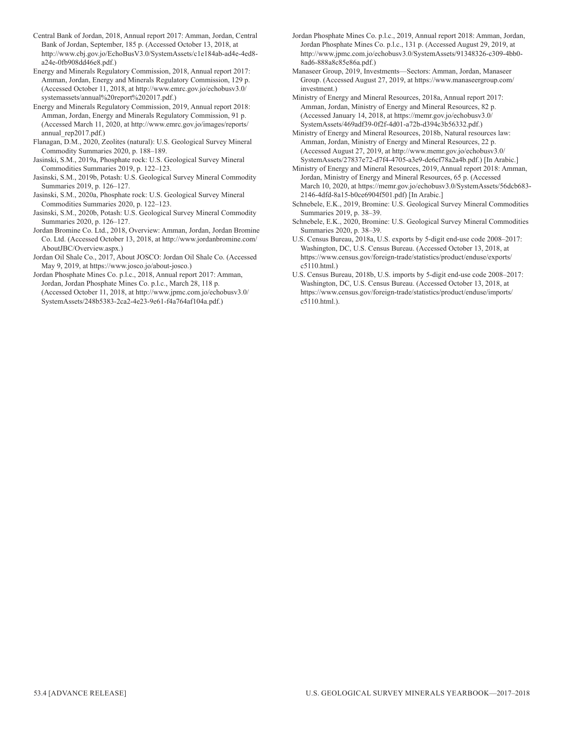- Central Bank of Jordan, 2018, Annual report 2017: Amman, Jordan, Central Bank of Jordan, September, 185 p. (Accessed October 13, 2018, at http://www.cbj.gov.jo/EchoBusV3.0/SystemAssets/c1e184ab-ad4e-4ed8 a24e-0fb908dd46e8.pdf.)
- Energy and Minerals Regulatory Commission, 2018, Annual report 2017: Amman, Jordan, Energy and Minerals Regulatory Commission, 129 p. (Accessed October 11, 2018, at http://www.emrc.gov.jo/echobusv3.0/ systemassets/annual%20report%202017.pdf.)
- Energy and Minerals Regulatory Commission, 2019, Annual report 2018: Amman, Jordan, Energy and Minerals Regulatory Commission, 91 p. (Accessed March 11, 2020, at http://www.emrc.gov.jo/images/reports/ annual\_rep2017.pdf.)
- Flanagan, D.M., 2020, Zeolites (natural): U.S. Geological Survey Mineral Commodity Summaries 2020, p. 188–189.
- Jasinski, S.M., 2019a, Phosphate rock: U.S. Geological Survey Mineral Commodities Summaries 2019, p. 122–123.
- Jasinski, S.M., 2019b, Potash: U.S. Geological Survey Mineral Commodity Summaries 2019, p. 126–127.
- Jasinski, S.M., 2020a, Phosphate rock: U.S. Geological Survey Mineral Commodities Summaries 2020, p. 122–123.
- Jasinski, S.M., 2020b, Potash: U.S. Geological Survey Mineral Commodity Summaries 2020, p. 126–127.
- Jordan Bromine Co. Ltd., 2018, Overview: Amman, Jordan, Jordan Bromine Co. Ltd. (Accessed October 13, 2018, at http://www.jordanbromine.com/ AboutJBC/Overview.aspx.)
- Jordan Oil Shale Co., 2017, About JOSCO: Jordan Oil Shale Co. (Accessed May 9, 2019, at https://www.josco.jo/about-josco.)
- Jordan Phosphate Mines Co. p.l.c., 2018, Annual report 2017: Amman, Jordan, Jordan Phosphate Mines Co. p.l.c., March 28, 118 p. (Accessed October 11, 2018, at http://www.jpmc.com.jo/echobusv3.0/
- SystemAssets/248b5383-2ca2-4e23-9e61-f4a764af104a.pdf.)

Jordan Phosphate Mines Co. p.l.c., 2019, Annual report 2018: Amman, Jordan, Jordan Phosphate Mines Co. p.l.c., 131 p. (Accessed August 29, 2019, at http://www.jpmc.com.jo/echobusv3.0/SystemAssets/91348326-c309-4bb0- 8ad6-888a8c85e86a.pdf.)

Manaseer Group, 2019, Investments—Sectors: Amman, Jordan, Manaseer Group. (Accessed August 27, 2019, at https://www.manaseergroup.com/ investment.)

Ministry of Energy and Mineral Resources, 2018a, Annual report 2017: Amman, Jordan, Ministry of Energy and Mineral Resources, 82 p. (Accessed January 14, 2018, at https://memr.gov.jo/echobusv3.0/ SystemAssets/469adf39-0f2f-4d01-a72b-d394c3b56332.pdf.)

Ministry of Energy and Mineral Resources, 2018b, Natural resources law: Amman, Jordan, Ministry of Energy and Mineral Resources, 22 p. (Accessed August 27, 2019, at http://www.memr.gov.jo/echobusv3.0/ SystemAssets/27837e72-d7f4-4705-a3e9-de6cf78a2a4b.pdf.) [In Arabic.]

Ministry of Energy and Mineral Resources, 2019, Annual report 2018: Amman, Jordan, Ministry of Energy and Mineral Resources, 65 p. (Accessed March 10, 2020, at https://memr.gov.jo/echobusv3.0/SystemAssets/56dcb683- 2146-4dfd-8a15-b0ce6904f501.pdf) [In Arabic.]

- Schnebele, E.K., 2019, Bromine: U.S. Geological Survey Mineral Commodities Summaries 2019, p. 38–39.
- Schnebele, E.K., 2020, Bromine: U.S. Geological Survey Mineral Commodities Summaries 2020, p. 38–39.
- U.S. Census Bureau, 2018a, U.S. exports by 5-digit end-use code 2008–2017: Washington, DC, U.S. Census Bureau. (Accessed October 13, 2018, at https://www.census.gov/foreign-trade/statistics/product/enduse/exports/ c5110.html.)
- U.S. Census Bureau, 2018b, U.S. imports by 5-digit end-use code 2008–2017: Washington, DC, U.S. Census Bureau. (Accessed October 13, 2018, at https://www.census.gov/foreign-trade/statistics/product/enduse/imports/ c5110.html.).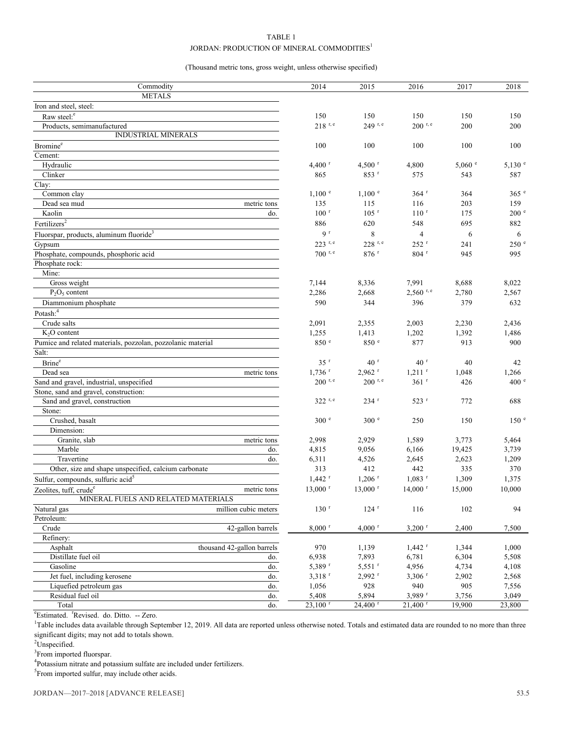#### TABLE 1

#### JORDAN: PRODUCTION OF MINERAL COMMODITIES<sup>1</sup>

(Thousand metric tons, gross weight, unless otherwise specified)

| Commodity                                                   | 2014                  | 2015                  | 2016                  | 2017    | 2018              |
|-------------------------------------------------------------|-----------------------|-----------------------|-----------------------|---------|-------------------|
| <b>METALS</b>                                               |                       |                       |                       |         |                   |
| Iron and steel, steel:                                      |                       |                       |                       |         |                   |
| Raw steel: <sup>e</sup>                                     | 150                   | 150                   | 150                   | 150     | 150               |
| Products, semimanufactured                                  | $218$ <sup>r, e</sup> | 249 r, e              | $200$ r, e            | 200     | 200               |
| INDUSTRIAL MINERALS                                         |                       |                       |                       |         |                   |
| Bromine <sup>e</sup>                                        | 100                   | 100                   | 100                   | 100     | 100               |
| Cement:                                                     |                       |                       |                       |         |                   |
| Hydraulic                                                   | $4,400$ <sup>r</sup>  | $4,500$ <sup>r</sup>  | 4,800                 | 5,060 ° | $5,130$ $\degree$ |
| Clinker                                                     | 865                   | 853 r                 | 575                   | 543     | 587               |
| Clay:                                                       |                       |                       |                       |         |                   |
| Common clay                                                 | $1,100$ $\degree$     | $1,100$ $e$           | $364$ <sup>r</sup>    | 364     | $365$ $\degree$   |
| Dead sea mud<br>metric tons                                 | 135                   | 115                   | 116                   | 203     | 159               |
| Kaolin<br>do.                                               | 100 <sup>r</sup>      | $105$ <sup>r</sup>    | 110 <sup>r</sup>      | 175     | 200 <sup>°</sup>  |
| Fertilizers <sup>2</sup>                                    | 886                   | 620                   | 548                   | 695     | 882               |
| Fluorspar, products, aluminum fluoride <sup>3</sup>         | 9 <sup>r</sup>        | $\,$ 8 $\,$           | $\overline{4}$        | 6       | 6                 |
| Gypsum                                                      | 223 r, e              | $228$ r, e            | $252$ <sup>r</sup>    | 241     | 250 e             |
| Phosphate, compounds, phosphoric acid                       | 700 r, e              | $876$ <sup>r</sup>    | $804$ <sup>r</sup>    | 945     | 995               |
| Phosphate rock:                                             |                       |                       |                       |         |                   |
| Mine:                                                       |                       |                       |                       |         |                   |
| Gross weight                                                | 7,144                 | 8,336                 | 7,991                 | 8,688   | 8,022             |
| $P_2O_5$ content                                            | 2,286                 | 2,668                 | $2,560$ r, e          | 2,780   | 2,567             |
| Diammonium phosphate                                        | 590                   | 344                   | 396                   | 379     | 632               |
| Potash: <sup>4</sup>                                        |                       |                       |                       |         |                   |
| Crude salts                                                 | 2,091                 | 2,355                 | 2,003                 | 2,230   | 2,436             |
| $K2O$ content                                               | 1,255                 | 1,413                 | 1,202                 | 1,392   | 1,486             |
| Pumice and related materials, pozzolan, pozzolanic material | 850 °                 | 850 °                 | 877                   | 913     | 900               |
| Salt:                                                       |                       |                       |                       |         |                   |
| Brine <sup>e</sup>                                          | $35$ <sup>r</sup>     | 40 <sup>r</sup>       | 40 <sup>r</sup>       | 40      | 42                |
| Dead sea<br>metric tons                                     | $1,736$ <sup>r</sup>  | $2,962$ <sup>r</sup>  | $1,211$ <sup>r</sup>  | 1,048   | 1,266             |
| Sand and gravel, industrial, unspecified                    | $200$ r, e            | $200$ r, e            | 361r                  | 426     | 400 <sup>e</sup>  |
| Stone, sand and gravel, construction:                       |                       |                       |                       |         |                   |
| Sand and gravel, construction                               | $322$ <sup>r, e</sup> | $234$ <sup>r</sup>    | $523$ <sup>r</sup>    | 772     | 688               |
| Stone:                                                      |                       |                       |                       |         |                   |
| Crushed, basalt                                             | 300 e                 | 300 <sup>e</sup>      | 250                   | 150     | 150 <sup>e</sup>  |
| Dimension:                                                  |                       |                       |                       |         |                   |
| Granite, slab<br>metric tons                                | 2,998                 | 2,929                 | 1,589                 | 3,773   | 5,464             |
| Marble<br>do.                                               | 4,815                 | 9,056                 | 6,166                 | 19,425  | 3,739             |
| Travertine<br>do.                                           | 6,311                 | 4,526                 | 2,645                 | 2,623   | 1,209             |
| Other, size and shape unspecified, calcium carbonate        | 313                   | 412                   | 442                   | 335     | 370               |
| Sulfur, compounds, sulfuric acid <sup>5</sup>               | $1,442$ <sup>r</sup>  | $1,206$ <sup>r</sup>  | $1,083$ <sup>r</sup>  | 1,309   | 1,375             |
| Zeolites, tuff, crude <sup>e</sup><br>metric tons           | $13,000$ <sup>r</sup> | $13,000$ <sup>r</sup> | $14,000$ <sup>r</sup> | 15,000  | 10,000            |
| MINERAL FUELS AND RELATED MATERIALS                         |                       |                       |                       |         |                   |
| million cubic meters<br>Natural gas                         | $130$ <sup>r</sup>    | 124r                  | 116                   | 102     | 94                |
| Petroleum:                                                  |                       |                       |                       |         |                   |
| Crude<br>42-gallon barrels                                  | $8,000$ <sup>r</sup>  | $4,000$ <sup>r</sup>  | $3,200$ <sup>r</sup>  | 2,400   | 7,500             |
| Refinery:                                                   |                       |                       |                       |         |                   |
| thousand 42-gallon barrels<br>Asphalt                       | 970                   | 1,139                 | $1,442$ <sup>r</sup>  | 1,344   | 1,000             |
| Distillate fuel oil<br>do.                                  | 6,938                 | 7,893                 | 6,781                 | 6,304   | 5,508             |
| Gasoline<br>do.                                             | 5,389 r               | $5,551$ <sup>r</sup>  | 4,956                 | 4,734   | 4,108             |
| Jet fuel, including kerosene<br>do.                         | $3,318$ <sup>r</sup>  | $2,992$ <sup>r</sup>  | $3,306$ <sup>r</sup>  | 2,902   | 2,568             |
| Liquefied petroleum gas<br>do.                              | 1,056                 | 928                   | 940                   | 905     | 7,556             |
| Residual fuel oil<br>do.                                    | 5,408                 | 5,894                 | $3,989$ <sup>r</sup>  | 3,756   | 3,049             |
| Total<br>do.                                                | $23,100$ <sup>r</sup> | $24,400$ <sup>r</sup> | $21,400$ <sup>r</sup> | 19,900  | 23,800            |

<sup>e</sup>Estimated. <sup>r</sup>Revised. do. Ditto. -- Zero.

<sup>1</sup>Table includes data available through September 12, 2019. All data are reported unless otherwise noted. Totals and estimated data are rounded to no more than three significant digits; may not add to totals shown.

<sup>2</sup>Unspecified.

<sup>3</sup> From imported fluorspar.

<sup>4</sup>Potassium nitrate and potassium sulfate are included under fertilizers.

<sup>5</sup> From imported sulfur, may include other acids.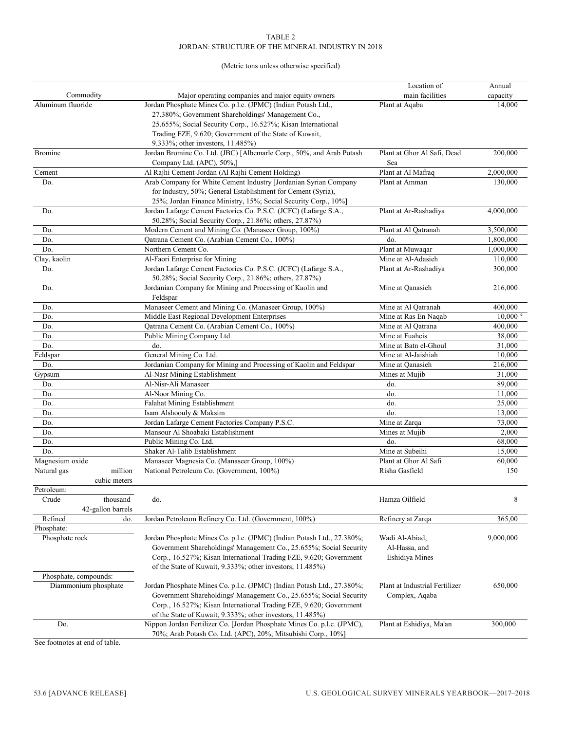#### TABLE 2 JORDAN: STRUCTURE OF THE MINERAL INDUSTRY IN 2018

#### (Metric tons unless otherwise specified)

|                                |                                                                                                                    | Location of                    | Annual             |
|--------------------------------|--------------------------------------------------------------------------------------------------------------------|--------------------------------|--------------------|
| Commodity<br>Aluminum fluoride | Major operating companies and major equity owners                                                                  | main facilities                | capacity           |
|                                | Jordan Phosphate Mines Co. p.l.c. (JPMC) (Indian Potash Ltd.,                                                      | Plant at Aqaba                 | 14,000             |
|                                | 27.380%; Government Shareholdings' Management Co.,<br>25.655%; Social Security Corp., 16.527%; Kisan International |                                |                    |
|                                | Trading FZE, 9.620; Government of the State of Kuwait,                                                             |                                |                    |
|                                | 9.333%; other investors, 11.485%)                                                                                  |                                |                    |
| <b>Bromine</b>                 | Jordan Bromine Co. Ltd. (JBC) [Albemarle Corp., 50%, and Arab Potash                                               | Plant at Ghor Al Safi, Dead    | 200,000            |
|                                | Company Ltd. (APC), 50%,]                                                                                          | Sea                            |                    |
| Cement                         | Al Rajhi Cement-Jordan (Al Rajhi Cement Holding)                                                                   | Plant at Al Mafraq             | 2,000,000          |
| Do.                            | Arab Company for White Cement Industry [Jordanian Syrian Company                                                   | Plant at Amman                 | 130,000            |
|                                | for Industry, 50%; General Establishment for Cement (Syria),                                                       |                                |                    |
|                                | 25%; Jordan Finance Ministry, 15%; Social Security Corp., 10%]                                                     |                                |                    |
| Do.                            | Jordan Lafarge Cement Factories Co. P.S.C. (JCFC) (Lafarge S.A.,                                                   | Plant at Ar-Rashadiya          | 4,000,000          |
|                                | 50.28%; Social Security Corp., 21.86%; others, 27.87%)                                                             |                                |                    |
| Do.                            | Modern Cement and Mining Co. (Manaseer Group, 100%)                                                                | Plant at Al Qatranah           | 3,500,000          |
| Do.                            | Qatrana Cement Co. (Arabian Cement Co., 100%)                                                                      | do.                            | 1,800,000          |
| Do.                            | Northern Cement Co.                                                                                                | Plant at Muwaqar               | 1,000,000          |
| Clay, kaolin                   | Al-Faori Enterprise for Mining                                                                                     | Mine at Al-Adasieh             | 110,000            |
| Do.                            | Jordan Lafarge Cement Factories Co. P.S.C. (JCFC) (Lafarge S.A.,                                                   | Plant at Ar-Rashadiya          | 300,000            |
|                                | 50.28%; Social Security Corp., 21.86%; others, 27.87%)                                                             |                                |                    |
| Do.                            | Jordanian Company for Mining and Processing of Kaolin and                                                          | Mine at Qanasieh               | 216,000            |
|                                | Feldspar<br>Manaseer Cement and Mining Co. (Manaseer Group, 100%)                                                  | Mine at Al Qatranah            | 400,000            |
| Do.<br>Do.                     | Middle East Regional Development Enterprises                                                                       | Mine at Ras En Naqab           | $10,000$ $\degree$ |
| Do.                            | Qatrana Cement Co. (Arabian Cement Co., 100%)                                                                      | Mine at Al Qatrana             | 400,000            |
| Do.                            | Public Mining Company Ltd.                                                                                         | Mine at Fuaheis                | 38,000             |
| Do.                            | do.                                                                                                                | Mine at Batn el-Ghoul          | 31,000             |
| Feldspar                       | General Mining Co. Ltd.                                                                                            | Mine at Al-Jaishiah            | 10,000             |
| Do.                            | Jordanian Company for Mining and Processing of Kaolin and Feldspar                                                 | Mine at Qanasieh               | 216,000            |
| Gypsum                         | Al-Nasr Mining Establishment                                                                                       | Mines at Mujib                 | 31,000             |
| Do.                            | Al-Nisr-Ali Manaseer                                                                                               | do.                            | 89,000             |
| Do.                            | Al-Noor Mining Co.                                                                                                 | do.                            | 11,000             |
| Do.                            | Falahat Mining Establishment                                                                                       | do.                            | 25,000             |
| Do.                            | Isam Alshoouly & Maksim                                                                                            | do.                            | 13,000             |
| Do.                            | Jordan Lafarge Cement Factories Company P.S.C.                                                                     | Mine at Zarqa                  | 73,000             |
| Do.                            | Mansour Al Shoabaki Establishment                                                                                  | Mines at Mujib                 | 2,000              |
| Do.                            | Public Mining Co. Ltd.                                                                                             | do.                            | 68,000             |
| Do.                            | Shaker Al-Talib Establishment                                                                                      | Mine at Subeihi                | 15,000             |
| Magnesium oxide                | Manaseer Magnesia Co. (Manaseer Group, 100%)                                                                       | Plant at Ghor Al Safi          | 60,000             |
| million<br>Natural gas         | National Petroleum Co. (Government, 100%)                                                                          | Risha Gasfield                 | 150                |
| cubic meters                   |                                                                                                                    |                                |                    |
| Petroleum:                     |                                                                                                                    |                                |                    |
| thousand<br>Crude              | do.                                                                                                                | Hamza Oilfield                 | 8                  |
| 42-gallon barrels              |                                                                                                                    |                                |                    |
| Refined<br>do.                 | Jordan Petroleum Refinery Co. Ltd. (Government, 100%)                                                              | Refinery at Zarqa              | 365,00             |
| Phosphate:                     |                                                                                                                    |                                |                    |
| Phosphate rock                 | Jordan Phosphate Mines Co. p.l.c. (JPMC) (Indian Potash Ltd., 27.380%;                                             | Wadi Al-Abiad,                 | 9,000,000          |
|                                | Government Shareholdings' Management Co., 25.655%; Social Security                                                 | Al-Hassa, and                  |                    |
|                                | Corp., 16.527%; Kisan International Trading FZE, 9.620; Government                                                 | Eshidiya Mines                 |                    |
|                                | of the State of Kuwait, 9.333%; other investors, 11.485%)                                                          |                                |                    |
| Phosphate, compounds:          |                                                                                                                    |                                |                    |
| Diammonium phosphate           | Jordan Phosphate Mines Co. p.l.c. (JPMC) (Indian Potash Ltd., 27.380%;                                             | Plant at Industrial Fertilizer | 650,000            |
|                                | Government Shareholdings' Management Co., 25.655%; Social Security                                                 | Complex, Aqaba                 |                    |
|                                | Corp., 16.527%; Kisan International Trading FZE, 9.620; Government                                                 |                                |                    |
|                                | of the State of Kuwait, 9.333%; other investors, 11.485%)                                                          |                                |                    |
| Do.                            | Nippon Jordan Fertilizer Co. [Jordan Phosphate Mines Co. p.l.c. (JPMC),                                            | Plant at Eshidiya, Ma'an       | 300,000            |
|                                | 70%; Arab Potash Co. Ltd. (APC), 20%; Mitsubishi Corp., 10%]                                                       |                                |                    |

See footnotes at end of table.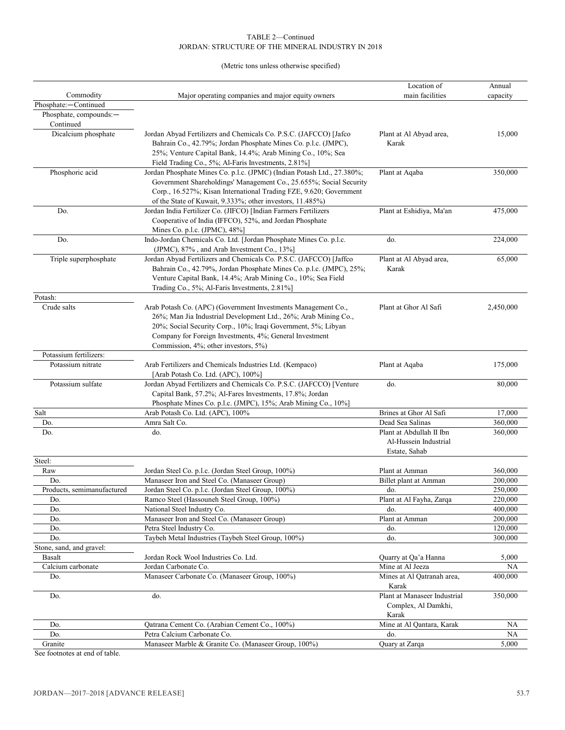#### TABLE 2—Continued JORDAN: STRUCTURE OF THE MINERAL INDUSTRY IN 2018

(Metric tons unless otherwise specified)

|                                     |                                                                                                                                                                                                                                                                                                      | Location of                                                        | Annual             |
|-------------------------------------|------------------------------------------------------------------------------------------------------------------------------------------------------------------------------------------------------------------------------------------------------------------------------------------------------|--------------------------------------------------------------------|--------------------|
| Commodity                           | Major operating companies and major equity owners                                                                                                                                                                                                                                                    | main facilities                                                    | capacity           |
| Phosphate:-Continued                |                                                                                                                                                                                                                                                                                                      |                                                                    |                    |
| Phosphate, compounds:-<br>Continued |                                                                                                                                                                                                                                                                                                      |                                                                    |                    |
| Dicalcium phosphate                 | Jordan Abyad Fertilizers and Chemicals Co. P.S.C. (JAFCCO) [Jafco<br>Bahrain Co., 42.79%; Jordan Phosphate Mines Co. p.l.c. (JMPC),<br>25%; Venture Capital Bank, 14.4%; Arab Mining Co., 10%; Sea<br>Field Trading Co., 5%; Al-Faris Investments, 2.81%]                                            | Plant at Al Abyad area,<br>Karak                                   | 15,000             |
| Phosphoric acid                     | Jordan Phosphate Mines Co. p.l.c. (JPMC) (Indian Potash Ltd., 27.380%;<br>Government Shareholdings' Management Co., 25.655%; Social Security<br>Corp., 16.527%; Kisan International Trading FZE, 9.620; Government<br>of the State of Kuwait, 9.333%; other investors, 11.485%)                      | Plant at Aqaba                                                     | 350,000            |
| Do.                                 | Jordan India Fertilizer Co. (JIFCO) [Indian Farmers Fertilizers<br>Cooperative of India (IFFCO), 52%, and Jordan Phosphate<br>Mines Co. p.l.c. (JPMC), 48%]                                                                                                                                          | Plant at Eshidiya, Ma'an                                           | 475,000            |
| Do.                                 | Indo-Jordan Chemicals Co. Ltd. [Jordan Phosphate Mines Co. p.l.c.<br>(JPMC), 87%, and Arab Investment Co., 13%]                                                                                                                                                                                      | do.                                                                | 224,000            |
| Triple superphosphate               | Jordan Abyad Fertilizers and Chemicals Co. P.S.C. (JAFCCO) [Jaffco<br>Bahrain Co., 42.79%, Jordan Phosphate Mines Co. p.l.c. (JMPC), 25%;<br>Venture Capital Bank, 14.4%; Arab Mining Co., 10%; Sea Field<br>Trading Co., 5%; Al-Faris Investments, 2.81%]                                           | Plant at Al Abyad area,<br>Karak                                   | 65,000             |
| Potash:                             |                                                                                                                                                                                                                                                                                                      |                                                                    |                    |
| Crude salts                         | Arab Potash Co. (APC) (Government Investments Management Co.,<br>26%; Man Jia Industrial Development Ltd., 26%; Arab Mining Co.,<br>20%; Social Security Corp., 10%; Iraqi Government, 5%; Libyan<br>Company for Foreign Investments, 4%; General Investment<br>Commission, 4%; other investors, 5%) | Plant at Ghor Al Safi                                              | 2,450,000          |
| Potassium fertilizers:              |                                                                                                                                                                                                                                                                                                      |                                                                    |                    |
| Potassium nitrate                   | Arab Fertilizers and Chemicals Industries Ltd. (Kempaco)<br>[Arab Potash Co. Ltd. (APC), 100%]                                                                                                                                                                                                       | Plant at Aqaba                                                     | 175,000            |
| Potassium sulfate                   | Jordan Abyad Fertilizers and Chemicals Co. P.S.C. (JAFCCO) [Venture<br>Capital Bank, 57.2%; Al-Fares Investments, 17.8%; Jordan<br>Phosphate Mines Co. p.l.c. (JMPC), 15%; Arab Mining Co., 10%]                                                                                                     | do.                                                                | 80,000             |
| Salt                                | Arab Potash Co. Ltd. (APC), 100%                                                                                                                                                                                                                                                                     | Brines at Ghor Al Safi                                             | 17,000             |
| Do.                                 | Amra Salt Co.                                                                                                                                                                                                                                                                                        | Dead Sea Salinas                                                   | 360,000            |
| Do.                                 | do.                                                                                                                                                                                                                                                                                                  | Plant at Abdullah II Ibn<br>Al-Hussein Industrial<br>Estate, Sahab | 360,000            |
| Steel:                              |                                                                                                                                                                                                                                                                                                      |                                                                    |                    |
| Raw                                 | Jordan Steel Co. p.l.c. (Jordan Steel Group, 100%)                                                                                                                                                                                                                                                   | Plant at Amman                                                     | 360,000            |
| Do.                                 | Manaseer Iron and Steel Co. (Manaseer Group)                                                                                                                                                                                                                                                         | Billet plant at Amman                                              | 200,000            |
| Products, semimanufactured          | Jordan Steel Co. p.l.c. (Jordan Steel Group, 100%)                                                                                                                                                                                                                                                   | do.                                                                | 250,000            |
| Do.                                 | Ramco Steel (Hassouneh Steel Group, 100%)<br>National Steel Industry Co.                                                                                                                                                                                                                             | Plant at Al Fayha, Zarqa<br>do.                                    | 220,000<br>400,000 |
| Do.<br>Do.                          | Manaseer Iron and Steel Co. (Manaseer Group)                                                                                                                                                                                                                                                         | Plant at Amman                                                     | 200,000            |
| Do.                                 | Petra Steel Industry Co.                                                                                                                                                                                                                                                                             | do.                                                                | 120,000            |
| Do.                                 | Taybeh Metal Industries (Taybeh Steel Group, 100%)                                                                                                                                                                                                                                                   | do.                                                                | 300,000            |
| Stone, sand, and gravel:            |                                                                                                                                                                                                                                                                                                      |                                                                    |                    |
| Basalt                              | Jordan Rock Wool Industries Co. Ltd.                                                                                                                                                                                                                                                                 | Quarry at Qa'a Hanna                                               | 5,000              |
| Calcium carbonate                   | Jordan Carbonate Co.                                                                                                                                                                                                                                                                                 | Mine at Al Jeeza                                                   | NA                 |
| Do.                                 | Manaseer Carbonate Co. (Manaseer Group, 100%)                                                                                                                                                                                                                                                        | Mines at Al Qatranah area,<br>Karak                                | 400,000            |
| Do.                                 | do.                                                                                                                                                                                                                                                                                                  | Plant at Manaseer Industrial<br>Complex, Al Damkhi,<br>Karak       | 350,000            |
| Do.                                 | Qatrana Cement Co. (Arabian Cement Co., 100%)                                                                                                                                                                                                                                                        | Mine at Al Qantara, Karak                                          | NА                 |
| Do.                                 | Petra Calcium Carbonate Co.                                                                                                                                                                                                                                                                          | do.                                                                | NA.                |
| Granite                             | Manaseer Marble & Granite Co. (Manaseer Group, 100%)                                                                                                                                                                                                                                                 | Quary at Zarqa                                                     | 5,000              |

See footnotes at end of table.